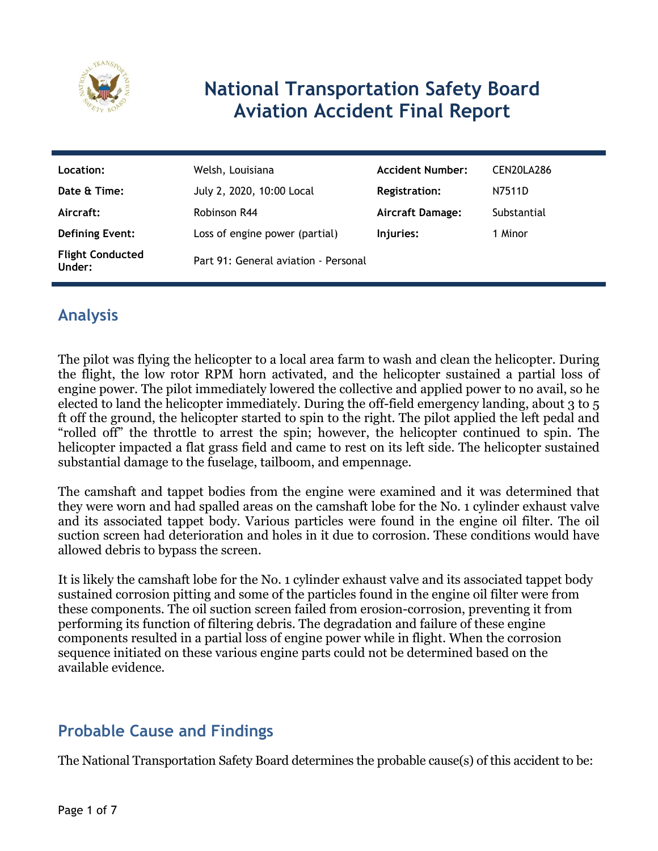

# **National Transportation Safety Board Aviation Accident Final Report**

| Location:                         | Welsh, Louisiana                     | <b>Accident Number:</b> | CEN20LA286  |
|-----------------------------------|--------------------------------------|-------------------------|-------------|
| Date & Time:                      | July 2, 2020, 10:00 Local            | <b>Registration:</b>    | N7511D      |
| Aircraft:                         | Robinson R44                         | <b>Aircraft Damage:</b> | Substantial |
| <b>Defining Event:</b>            | Loss of engine power (partial)       | Injuries:               | 1 Minor     |
| <b>Flight Conducted</b><br>Under: | Part 91: General aviation - Personal |                         |             |

# **Analysis**

The pilot was flying the helicopter to a local area farm to wash and clean the helicopter. During the flight, the low rotor RPM horn activated, and the helicopter sustained a partial loss of engine power. The pilot immediately lowered the collective and applied power to no avail, so he elected to land the helicopter immediately. During the off-field emergency landing, about 3 to 5 ft off the ground, the helicopter started to spin to the right. The pilot applied the left pedal and "rolled off" the throttle to arrest the spin; however, the helicopter continued to spin. The helicopter impacted a flat grass field and came to rest on its left side. The helicopter sustained substantial damage to the fuselage, tailboom, and empennage.

The camshaft and tappet bodies from the engine were examined and it was determined that they were worn and had spalled areas on the camshaft lobe for the No. 1 cylinder exhaust valve and its associated tappet body. Various particles were found in the engine oil filter. The oil suction screen had deterioration and holes in it due to corrosion. These conditions would have allowed debris to bypass the screen.

It is likely the camshaft lobe for the No. 1 cylinder exhaust valve and its associated tappet body sustained corrosion pitting and some of the particles found in the engine oil filter were from these components. The oil suction screen failed from erosion-corrosion, preventing it from performing its function of filtering debris. The degradation and failure of these engine components resulted in a partial loss of engine power while in flight. When the corrosion sequence initiated on these various engine parts could not be determined based on the available evidence.

## **Probable Cause and Findings**

The National Transportation Safety Board determines the probable cause(s) of this accident to be: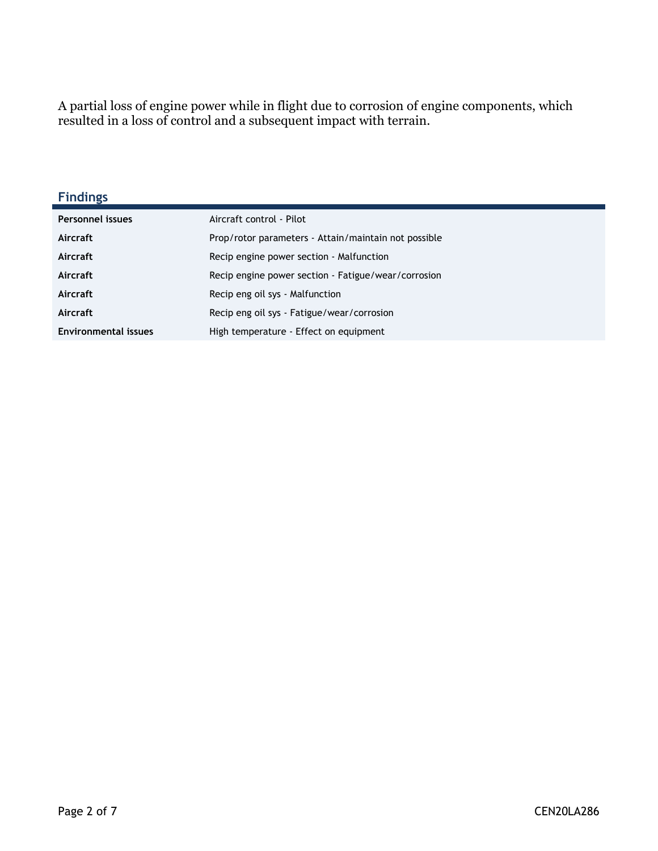A partial loss of engine power while in flight due to corrosion of engine components, which resulted in a loss of control and a subsequent impact with terrain.

#### **Findings**

| <b>Personnel issues</b>     | Aircraft control - Pilot                             |
|-----------------------------|------------------------------------------------------|
| Aircraft                    | Prop/rotor parameters - Attain/maintain not possible |
| Aircraft                    | Recip engine power section - Malfunction             |
| Aircraft                    | Recip engine power section - Fatigue/wear/corrosion  |
| Aircraft                    | Recip eng oil sys - Malfunction                      |
| Aircraft                    | Recip eng oil sys - Fatigue/wear/corrosion           |
| <b>Environmental issues</b> | High temperature - Effect on equipment               |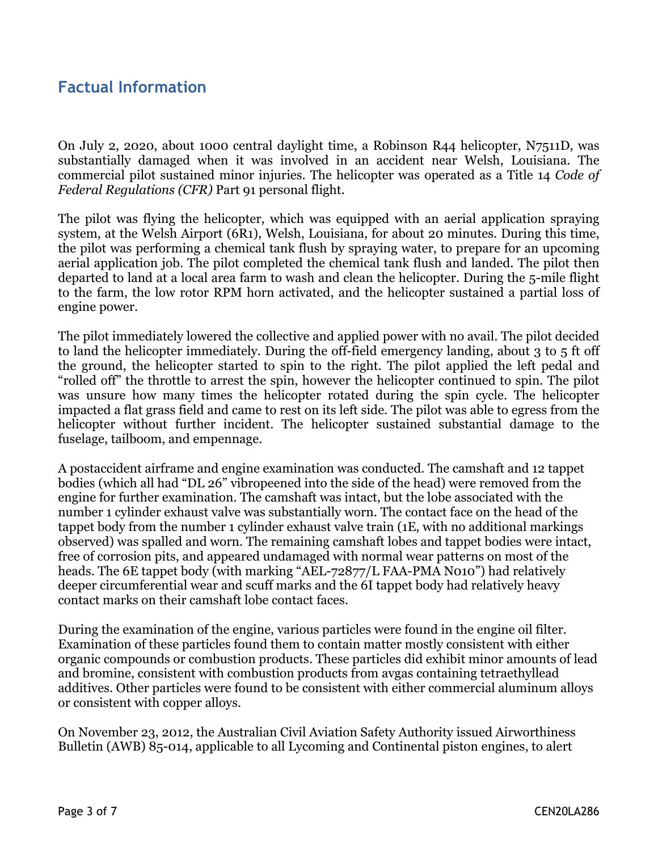### **Factual Information**

On July 2, 2020, about 1000 central daylight time, a Robinson R44 helicopter, N7511D, was substantially damaged when it was involved in an accident near Welsh, Louisiana. The commercial pilot sustained minor injuries. The helicopter was operated as a Title 14 *Code of Federal Regulations (CFR)* Part 91 personal flight.

The pilot was flying the helicopter, which was equipped with an aerial application spraying system, at the Welsh Airport (6R1), Welsh, Louisiana, for about 20 minutes. During this time, the pilot was performing a chemical tank flush by spraying water, to prepare for an upcoming aerial application job. The pilot completed the chemical tank flush and landed. The pilot then departed to land at a local area farm to wash and clean the helicopter. During the 5-mile flight to the farm, the low rotor RPM horn activated, and the helicopter sustained a partial loss of engine power.

The pilot immediately lowered the collective and applied power with no avail. The pilot decided to land the helicopter immediately. During the off-field emergency landing, about 3 to 5 ft off the ground, the helicopter started to spin to the right. The pilot applied the left pedal and "rolled off" the throttle to arrest the spin, however the helicopter continued to spin. The pilot was unsure how many times the helicopter rotated during the spin cycle. The helicopter impacted a flat grass field and came to rest on its left side. The pilot was able to egress from the helicopter without further incident. The helicopter sustained substantial damage to the fuselage, tailboom, and empennage.

A postaccident airframe and engine examination was conducted. The camshaft and 12 tappet bodies (which all had "DL 26" vibropeened into the side of the head) were removed from the engine for further examination. The camshaft was intact, but the lobe associated with the number 1 cylinder exhaust valve was substantially worn. The contact face on the head of the tappet body from the number 1 cylinder exhaust valve train (1E, with no additional markings observed) was spalled and worn. The remaining camshaft lobes and tappet bodies were intact, free of corrosion pits, and appeared undamaged with normal wear patterns on most of the heads. The 6E tappet body (with marking "AEL-72877/L FAA-PMA N010") had relatively deeper circumferential wear and scuff marks and the 6I tappet body had relatively heavy contact marks on their camshaft lobe contact faces.

During the examination of the engine, various particles were found in the engine oil filter. Examination of these particles found them to contain matter mostly consistent with either organic compounds or combustion products. These particles did exhibit minor amounts of lead and bromine, consistent with combustion products from avgas containing tetraethyllead additives. Other particles were found to be consistent with either commercial aluminum alloys or consistent with copper alloys.

On November 23, 2012, the Australian Civil Aviation Safety Authority issued Airworthiness Bulletin (AWB) 85-014, applicable to all Lycoming and Continental piston engines, to alert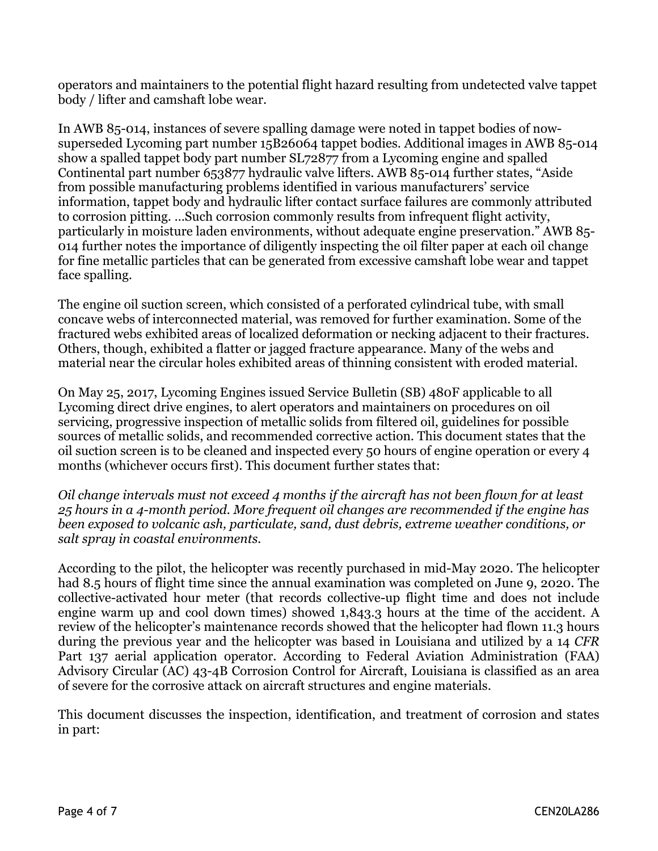operators and maintainers to the potential flight hazard resulting from undetected valve tappet body / lifter and camshaft lobe wear.

In AWB 85-014, instances of severe spalling damage were noted in tappet bodies of nowsuperseded Lycoming part number 15B26064 tappet bodies. Additional images in AWB 85-014 show a spalled tappet body part number SL72877 from a Lycoming engine and spalled Continental part number 653877 hydraulic valve lifters. AWB 85-014 further states, "Aside from possible manufacturing problems identified in various manufacturers' service information, tappet body and hydraulic lifter contact surface failures are commonly attributed to corrosion pitting. …Such corrosion commonly results from infrequent flight activity, particularly in moisture laden environments, without adequate engine preservation." AWB 85- 014 further notes the importance of diligently inspecting the oil filter paper at each oil change for fine metallic particles that can be generated from excessive camshaft lobe wear and tappet face spalling.

The engine oil suction screen, which consisted of a perforated cylindrical tube, with small concave webs of interconnected material, was removed for further examination. Some of the fractured webs exhibited areas of localized deformation or necking adjacent to their fractures. Others, though, exhibited a flatter or jagged fracture appearance. Many of the webs and material near the circular holes exhibited areas of thinning consistent with eroded material.

On May 25, 2017, Lycoming Engines issued Service Bulletin (SB) 480F applicable to all Lycoming direct drive engines, to alert operators and maintainers on procedures on oil servicing, progressive inspection of metallic solids from filtered oil, guidelines for possible sources of metallic solids, and recommended corrective action. This document states that the oil suction screen is to be cleaned and inspected every 50 hours of engine operation or every 4 months (whichever occurs first). This document further states that:

*Oil change intervals must not exceed 4 months if the aircraft has not been flown for at least 25 hours in a 4-month period. More frequent oil changes are recommended if the engine has been exposed to volcanic ash, particulate, sand, dust debris, extreme weather conditions, or salt spray in coastal environments.*

According to the pilot, the helicopter was recently purchased in mid-May 2020. The helicopter had 8.5 hours of flight time since the annual examination was completed on June 9, 2020. The collective-activated hour meter (that records collective-up flight time and does not include engine warm up and cool down times) showed 1,843.3 hours at the time of the accident. A review of the helicopter's maintenance records showed that the helicopter had flown 11.3 hours during the previous year and the helicopter was based in Louisiana and utilized by a 14 *CFR* Part 137 aerial application operator. According to Federal Aviation Administration (FAA) Advisory Circular (AC) 43-4B Corrosion Control for Aircraft, Louisiana is classified as an area of severe for the corrosive attack on aircraft structures and engine materials.

This document discusses the inspection, identification, and treatment of corrosion and states in part: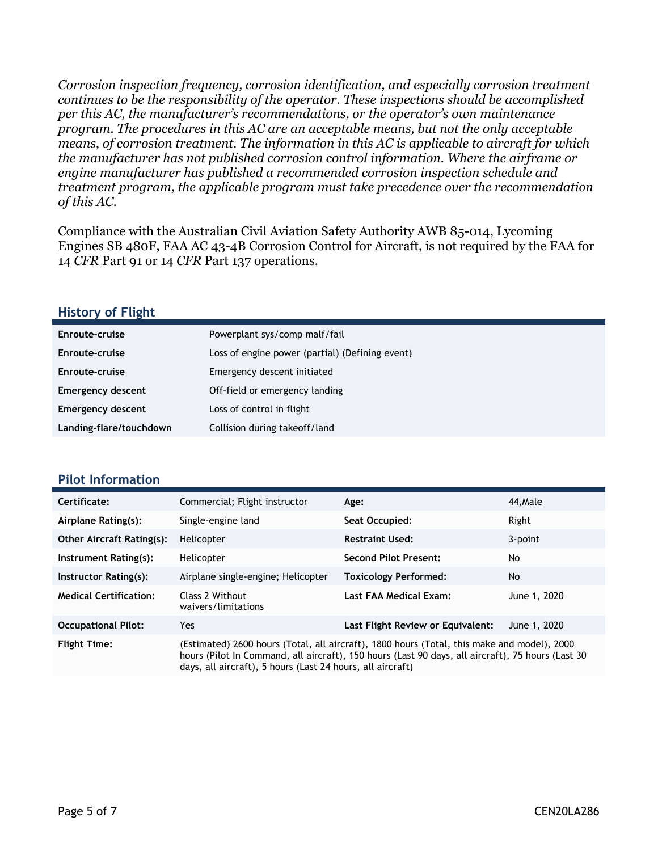*Corrosion inspection frequency, corrosion identification, and especially corrosion treatment continues to be the responsibility of the operator. These inspections should be accomplished per this AC, the manufacturer's recommendations, or the operator's own maintenance program. The procedures in this AC are an acceptable means, but not the only acceptable means, of corrosion treatment. The information in this AC is applicable to aircraft for which the manufacturer has not published corrosion control information. Where the airframe or engine manufacturer has published a recommended corrosion inspection schedule and treatment program, the applicable program must take precedence over the recommendation of this AC.*

Compliance with the Australian Civil Aviation Safety Authority AWB 85-014, Lycoming Engines SB 480F, FAA AC 43-4B Corrosion Control for Aircraft, is not required by the FAA for 14 *CFR* Part 91 or 14 *CFR* Part 137 operations.

#### **History of Flight**

| Enroute-cruise           | Powerplant sys/comp malf/fail                   |
|--------------------------|-------------------------------------------------|
| Enroute-cruise           | Loss of engine power (partial) (Defining event) |
| Enroute-cruise           | Emergency descent initiated                     |
| <b>Emergency descent</b> | Off-field or emergency landing                  |
| <b>Emergency descent</b> | Loss of control in flight                       |
| Landing-flare/touchdown  | Collision during takeoff/land                   |

#### **Pilot Information**

| Certificate:                     | Commercial; Flight instructor                                                                                                                                                                                                                                  | Age:                              | 44.Male      |
|----------------------------------|----------------------------------------------------------------------------------------------------------------------------------------------------------------------------------------------------------------------------------------------------------------|-----------------------------------|--------------|
| Airplane Rating(s):              | Single-engine land                                                                                                                                                                                                                                             | Seat Occupied:                    | Right        |
| <b>Other Aircraft Rating(s):</b> | Helicopter                                                                                                                                                                                                                                                     | <b>Restraint Used:</b>            | 3-point      |
| Instrument Rating(s):            | Helicopter                                                                                                                                                                                                                                                     | <b>Second Pilot Present:</b>      | No           |
| Instructor Rating(s):            | Airplane single-engine; Helicopter                                                                                                                                                                                                                             | <b>Toxicology Performed:</b>      | <b>No</b>    |
| <b>Medical Certification:</b>    | Class 2 Without<br>waivers/limitations                                                                                                                                                                                                                         | Last FAA Medical Exam:            | June 1, 2020 |
| <b>Occupational Pilot:</b>       | Yes                                                                                                                                                                                                                                                            | Last Flight Review or Equivalent: | June 1, 2020 |
| <b>Flight Time:</b>              | (Estimated) 2600 hours (Total, all aircraft), 1800 hours (Total, this make and model), 2000<br>hours (Pilot In Command, all aircraft), 150 hours (Last 90 days, all aircraft), 75 hours (Last 30<br>days, all aircraft), 5 hours (Last 24 hours, all aircraft) |                                   |              |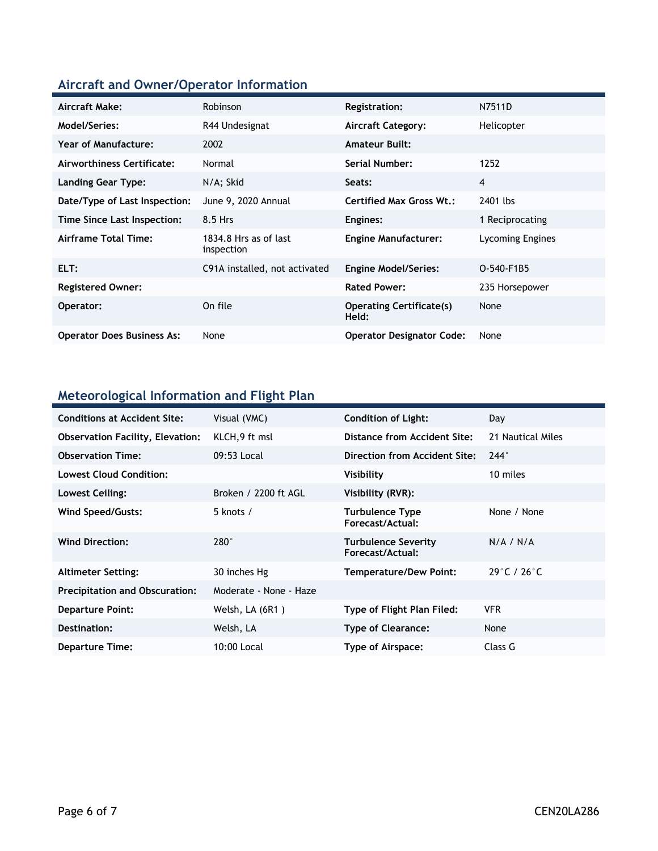### **Aircraft and Owner/Operator Information**

| Aircraft Make:                    | <b>Robinson</b>                     | Registration:                            | N7511D           |
|-----------------------------------|-------------------------------------|------------------------------------------|------------------|
| <b>Model/Series:</b>              | R44 Undesignat                      | <b>Aircraft Category:</b>                | Helicopter       |
| Year of Manufacture:              | 2002                                | <b>Amateur Built:</b>                    |                  |
| Airworthiness Certificate:        | Normal                              | <b>Serial Number:</b>                    | 1252             |
| <b>Landing Gear Type:</b>         | N/A; Skid                           | Seats:                                   | 4                |
| Date/Type of Last Inspection:     | June 9, 2020 Annual                 | <b>Certified Max Gross Wt.:</b>          | 2401 lbs         |
| Time Since Last Inspection:       | 8.5 Hrs                             | Engines:                                 | 1 Reciprocating  |
| <b>Airframe Total Time:</b>       | 1834.8 Hrs as of last<br>inspection | <b>Engine Manufacturer:</b>              | Lycoming Engines |
| ELT:                              | C91A installed, not activated       | <b>Engine Model/Series:</b>              | O-540-F1B5       |
| <b>Registered Owner:</b>          |                                     | <b>Rated Power:</b>                      | 235 Horsepower   |
| Operator:                         | On file                             | <b>Operating Certificate(s)</b><br>Held: | None             |
| <b>Operator Does Business As:</b> | None                                | <b>Operator Designator Code:</b>         | None             |

### **Meteorological Information and Flight Plan**

| <b>Conditions at Accident Site:</b>     | Visual (VMC)           | <b>Condition of Light:</b>                     | Day                              |
|-----------------------------------------|------------------------|------------------------------------------------|----------------------------------|
| <b>Observation Facility, Elevation:</b> | KLCH, 9 ft msl         | Distance from Accident Site:                   | 21 Nautical Miles                |
| <b>Observation Time:</b>                | 09:53 Local            | Direction from Accident Site:                  | $244^\circ$                      |
| <b>Lowest Cloud Condition:</b>          |                        | Visibility                                     | 10 miles                         |
| Lowest Ceiling:                         | Broken / 2200 ft AGL   | Visibility (RVR):                              |                                  |
| Wind Speed/Gusts:                       | 5 knots $/$            | <b>Turbulence Type</b><br>Forecast/Actual:     | None / None                      |
| <b>Wind Direction:</b>                  | $280^\circ$            | <b>Turbulence Severity</b><br>Forecast/Actual: | N/A / N/A                        |
| <b>Altimeter Setting:</b>               | 30 inches Hg           | <b>Temperature/Dew Point:</b>                  | $29^{\circ}$ C / 26 $^{\circ}$ C |
| <b>Precipitation and Obscuration:</b>   | Moderate - None - Haze |                                                |                                  |
| <b>Departure Point:</b>                 | Welsh, LA (6R1)        | Type of Flight Plan Filed:                     | <b>VFR</b>                       |
| Destination:                            | Welsh, LA              | <b>Type of Clearance:</b>                      | None                             |
| <b>Departure Time:</b>                  | 10:00 Local            | Type of Airspace:                              | Class G                          |